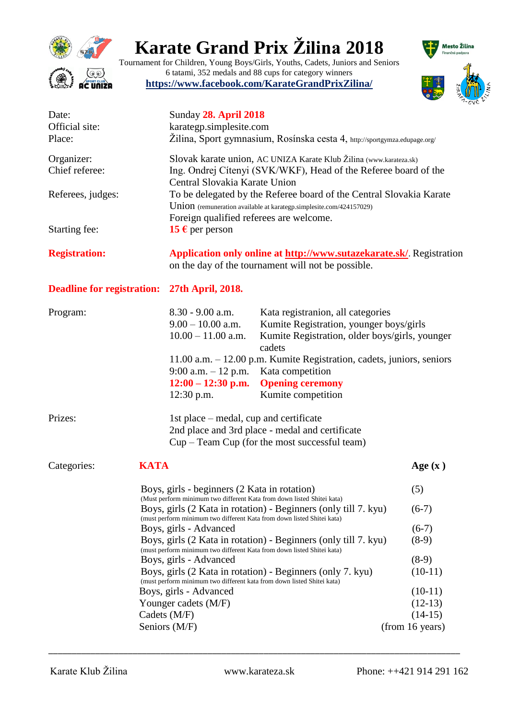

# **Karate Grand Prix Žilina 2018**

Tournament for Children, Young Boys/Girls, Youths, Cadets, Juniors and Seniors 6 tatami, 352 medals and 88 cups for category winners **<https://www.facebook.com/KarateGrandPrixZilina/>**



| Date:<br>Official site:           |                                                                                                                                                      | <b>Sunday 28. April 2018</b><br>karategp.simplesite.com                                                                                                                               |                                                                                                                                            |           |  |  |
|-----------------------------------|------------------------------------------------------------------------------------------------------------------------------------------------------|---------------------------------------------------------------------------------------------------------------------------------------------------------------------------------------|--------------------------------------------------------------------------------------------------------------------------------------------|-----------|--|--|
| Place:                            |                                                                                                                                                      | Žilina, Sport gymnasium, Rosínska cesta 4, http://sportgymza.edupage.org/                                                                                                             |                                                                                                                                            |           |  |  |
| Organizer:<br>Chief referee:      |                                                                                                                                                      | Slovak karate union, AC UNIZA Karate Klub Žilina (www.karateza.sk)<br>Ing. Ondrej Cítenyi (SVK/WKF), Head of the Referee board of the<br>Central Slovakia Karate Union                |                                                                                                                                            |           |  |  |
| Referees, judges:                 |                                                                                                                                                      | To be delegated by the Referee board of the Central Slovakia Karate<br>Union (remuneration available at karategp.simplesite.com/424157029)<br>Foreign qualified referees are welcome. |                                                                                                                                            |           |  |  |
| Starting fee:                     |                                                                                                                                                      | <b>15 €</b> per person                                                                                                                                                                |                                                                                                                                            |           |  |  |
| <b>Registration:</b>              |                                                                                                                                                      | Application only online at http://www.sutazekarate.sk/ Registration<br>on the day of the tournament will not be possible.                                                             |                                                                                                                                            |           |  |  |
| <b>Deadline for registration:</b> |                                                                                                                                                      | 27th April, 2018.                                                                                                                                                                     |                                                                                                                                            |           |  |  |
| Program:                          |                                                                                                                                                      | $8.30 - 9.00$ a.m.<br>$9.00 - 10.00$ a.m.<br>$10.00 - 11.00$ a.m.                                                                                                                     | Kata registranion, all categories<br>Kumite Registration, younger boys/girls<br>Kumite Registration, older boys/girls, younger<br>cadets   |           |  |  |
|                                   |                                                                                                                                                      | $9:00$ a.m. $-12$ p.m.<br>$12:00 - 12:30$ p.m.<br>$12:30$ p.m.                                                                                                                        | 11.00 a.m. - 12.00 p.m. Kumite Registration, cadets, juniors, seniors<br>Kata competition<br><b>Opening ceremony</b><br>Kumite competition |           |  |  |
| Prizes:                           |                                                                                                                                                      | 1st place – medal, cup and certificate                                                                                                                                                | 2nd place and 3rd place - medal and certificate<br>$Cup - Team Cup$ (for the most successful team)                                         |           |  |  |
| Categories:                       | <b>KATA</b>                                                                                                                                          |                                                                                                                                                                                       |                                                                                                                                            | Age $(x)$ |  |  |
|                                   |                                                                                                                                                      | Boys, girls - beginners (2 Kata in rotation)<br>(5)<br>(Must perform minimum two different Kata from down listed Shitei kata)                                                         |                                                                                                                                            |           |  |  |
|                                   |                                                                                                                                                      | Boys, girls (2 Kata in rotation) - Beginners (only till 7. kyu)<br>$(6-7)$<br>(must perform minimum two different Kata from down listed Shitei kata)                                  |                                                                                                                                            |           |  |  |
|                                   |                                                                                                                                                      | Boys, girls - Advanced<br>$(6-7)$                                                                                                                                                     |                                                                                                                                            |           |  |  |
|                                   | Boys, girls (2 Kata in rotation) - Beginners (only till 7. kyu)<br>$(8-9)$<br>(must perform minimum two different Kata from down listed Shitei kata) |                                                                                                                                                                                       |                                                                                                                                            |           |  |  |
|                                   | Boys, girls - Advanced<br>$(8-9)$                                                                                                                    |                                                                                                                                                                                       |                                                                                                                                            |           |  |  |
|                                   | Boys, girls (2 Kata in rotation) - Beginners (only 7. kyu)<br>$(10-11)$<br>(must perform minimum two different kata from down listed Shitei kata)    |                                                                                                                                                                                       |                                                                                                                                            |           |  |  |
|                                   |                                                                                                                                                      | Boys, girls - Advanced                                                                                                                                                                |                                                                                                                                            | $(10-11)$ |  |  |
|                                   |                                                                                                                                                      | Younger cadets (M/F)                                                                                                                                                                  |                                                                                                                                            | $(12-13)$ |  |  |
|                                   |                                                                                                                                                      | $(14-15)$<br>Cadets (M/F)                                                                                                                                                             |                                                                                                                                            |           |  |  |
|                                   |                                                                                                                                                      | Seniors (M/F)                                                                                                                                                                         | (from 16 years)                                                                                                                            |           |  |  |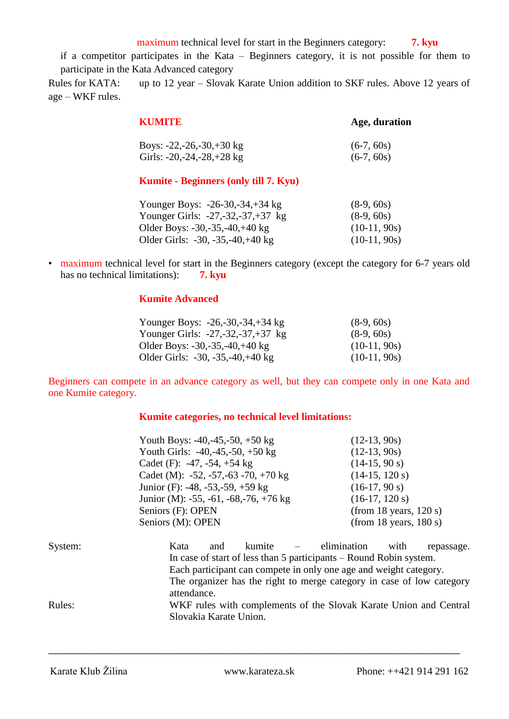maximum technical level for start in the Beginners category: **7. kyu** 

if a competitor participates in the Kata – Beginners category, it is not possible for them to participate in the Kata Advanced category

Rules for KATA: up to 12 year – Slovak Karate Union addition to SKF rules. Above 12 years of age – WKF rules.

| KUMITE                         | Age, duration |
|--------------------------------|---------------|
| Boys: $-22, -26, -30, +30$ kg  | $(6-7, 60s)$  |
| Girls: $-20, -24, -28, +28$ kg | $(6-7, 60s)$  |

### **Kumite - Beginners (only till 7. Kyu)**

| Younger Boys: $-26-30, -34, +34$ kg    | $(8-9, 60s)$   |
|----------------------------------------|----------------|
| Younger Girls: $-27, -32, -37, +37$ kg | $(8-9, 60s)$   |
| Older Boys: $-30, -35, -40, +40$ kg    | $(10-11, 90s)$ |
| Older Girls: $-30, -35, -40, +40$ kg   | $(10-11, 90s)$ |

• maximum technical level for start in the Beginners category (except the category for 6-7 years old has no technical limitations): **7. kyu** 

### **Kumite Advanced**

| Younger Boys: $-26, -30, -34, +34$ kg       | $(8-9, 60s)$   |
|---------------------------------------------|----------------|
| Younger Girls: $-27, -32, -37, +37$ kg      | $(8-9, 60s)$   |
| Older Boys: $-30, -35, -40, +40 \text{ kg}$ | $(10-11, 90s)$ |
| Older Girls: $-30, -35, -40, +40$ kg        | $(10-11, 90s)$ |

Beginners can compete in an advance category as well, but they can compete only in one Kata and one Kumite category.

### **Kumite categories, no technical level limitations:**

|    | Youth Boys: $-40, -45, -50, +50$ kg                  | $(12-13, 90s)$                   |  |  |  |
|----|------------------------------------------------------|----------------------------------|--|--|--|
|    | Youth Girls: $-40, -45, -50, +50$ kg                 | $(12-13, 90s)$                   |  |  |  |
|    | Cadet (F): $-47, -54, +54$ kg                        | $(14-15, 90 s)$                  |  |  |  |
|    | Cadet (M): $-52, -57, -63 -70, +70$ kg               | $(14-15, 120 s)$                 |  |  |  |
|    | Junior (F): -48, -53, -59, +59 kg                    | $(16-17, 90 s)$                  |  |  |  |
|    | Junior (M): $-55$ , $-61$ , $-68$ , $-76$ , $+76$ kg | $(16-17, 120 s)$                 |  |  |  |
|    | Seniors (F): OPEN                                    | (from 18 years, $120$ s)         |  |  |  |
|    | Seniors (M): OPEN                                    | (from 18 years, $180 s$ )        |  |  |  |
| n: | kumite<br>Kata<br>and                                | elimination<br>with<br>repassage |  |  |  |

| System: | Kata                   | and | kumite – | elimination                                                           | with | repassage. |
|---------|------------------------|-----|----------|-----------------------------------------------------------------------|------|------------|
|         |                        |     |          | In case of start of less than 5 participants – Round Robin system.    |      |            |
|         |                        |     |          | Each participant can compete in only one age and weight category.     |      |            |
|         |                        |     |          | The organizer has the right to merge category in case of low category |      |            |
|         | attendance.            |     |          |                                                                       |      |            |
| Rules:  |                        |     |          | WKF rules with complements of the Slovak Karate Union and Central     |      |            |
|         | Slovakia Karate Union. |     |          |                                                                       |      |            |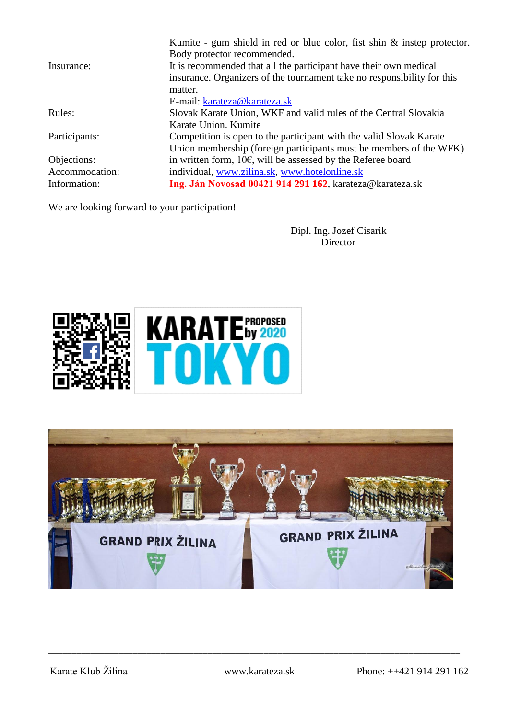|                | Kumite - gum shield in red or blue color, fist shin $\&$ instep protector. |
|----------------|----------------------------------------------------------------------------|
|                | Body protector recommended.                                                |
| Insurance:     | It is recommended that all the participant have their own medical          |
|                | insurance. Organizers of the tournament take no responsibility for this    |
|                | matter.                                                                    |
|                | E-mail: karateza@karateza.sk                                               |
| Rules:         | Slovak Karate Union, WKF and valid rules of the Central Slovakia           |
|                | Karate Union. Kumite                                                       |
| Participants:  | Competition is open to the participant with the valid Slovak Karate        |
|                | Union membership (foreign participants must be members of the WFK)         |
| Objections:    | in written form, $10\epsilon$ , will be assessed by the Referee board      |
| Accommodation: | individual, www.zilina.sk, www.hotelonline.sk                              |
| Information:   | Ing. Ján Novosad 00421 914 291 162, karateza@karateza.sk                   |
|                |                                                                            |

We are looking forward to your participation!

Dipl. Ing. Jozef Cisarik **Director** 



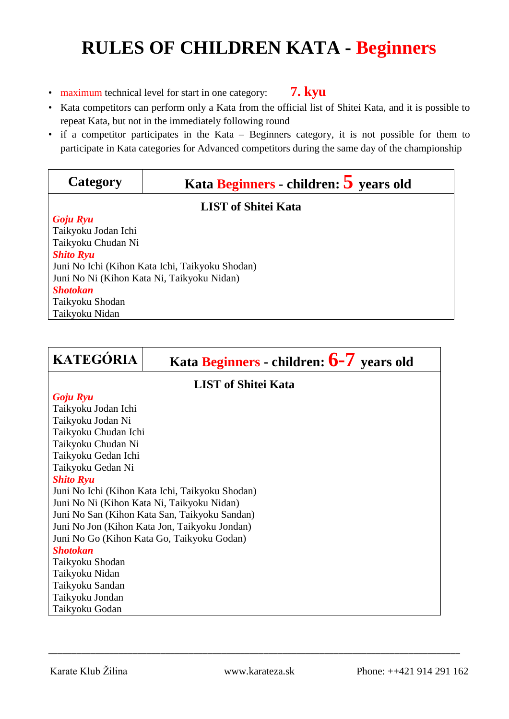# **RULES OF CHILDREN KATA - Beginners**

- maximum technical level for start in one category: **7. kyu**
- Kata competitors can perform only a Kata from the official list of Shitei Kata, and it is possible to repeat Kata, but not in the immediately following round
- if a competitor participates in the Kata Beginners category, it is not possible for them to participate in Kata categories for Advanced competitors during the same day of the championship

| Category                                        | Kata Beginners - children: 5 years old |  |  |  |
|-------------------------------------------------|----------------------------------------|--|--|--|
| <b>LIST of Shitei Kata</b>                      |                                        |  |  |  |
| Goju Ryu                                        |                                        |  |  |  |
| Taikyoku Jodan Ichi                             |                                        |  |  |  |
| Taikyoku Chudan Ni                              |                                        |  |  |  |
| <b>Shito Ryu</b>                                |                                        |  |  |  |
| Juni No Ichi (Kihon Kata Ichi, Taikyoku Shodan) |                                        |  |  |  |
| Juni No Ni (Kihon Kata Ni, Taikyoku Nidan)      |                                        |  |  |  |
| <b>Shotokan</b>                                 |                                        |  |  |  |
| Taikyoku Shodan                                 |                                        |  |  |  |
| Taikyoku Nidan                                  |                                        |  |  |  |

| <b>KATEGÓRIA</b>                                | Kata Beginners - children: $6-7$ years old |  |  |  |  |
|-------------------------------------------------|--------------------------------------------|--|--|--|--|
| <b>LIST of Shitei Kata</b>                      |                                            |  |  |  |  |
| Goju Ryu                                        |                                            |  |  |  |  |
| Taikyoku Jodan Ichi                             |                                            |  |  |  |  |
| Taikyoku Jodan Ni                               |                                            |  |  |  |  |
|                                                 | Taikyoku Chudan Ichi                       |  |  |  |  |
| Taikyoku Chudan Ni                              |                                            |  |  |  |  |
| Taikyoku Gedan Ichi                             |                                            |  |  |  |  |
| Taikyoku Gedan Ni                               |                                            |  |  |  |  |
| <b>Shito Ryu</b>                                |                                            |  |  |  |  |
| Juni No Ichi (Kihon Kata Ichi, Taikyoku Shodan) |                                            |  |  |  |  |
| Juni No Ni (Kihon Kata Ni, Taikyoku Nidan)      |                                            |  |  |  |  |
| Juni No San (Kihon Kata San, Taikyoku Sandan)   |                                            |  |  |  |  |
| Juni No Jon (Kihon Kata Jon, Taikyoku Jondan)   |                                            |  |  |  |  |
| Juni No Go (Kihon Kata Go, Taikyoku Godan)      |                                            |  |  |  |  |
| <b>Shotokan</b>                                 |                                            |  |  |  |  |
| Taikyoku Shodan                                 |                                            |  |  |  |  |
| Taikyoku Nidan                                  |                                            |  |  |  |  |
| Taikyoku Sandan                                 |                                            |  |  |  |  |
| Taikyoku Jondan                                 |                                            |  |  |  |  |
| Taikyoku Godan                                  |                                            |  |  |  |  |

\_\_\_\_\_\_\_\_\_\_\_\_\_\_\_\_\_\_\_\_\_\_\_\_\_\_\_\_\_\_\_\_\_\_\_\_\_\_\_\_\_\_\_\_\_\_\_\_\_\_\_\_\_\_\_\_\_\_\_\_\_\_\_\_\_\_\_\_\_\_\_\_\_\_\_\_\_\_\_\_\_\_\_\_\_\_\_\_

Karate Klub Žilina www.karateza.sk Phone: ++421 914 291 162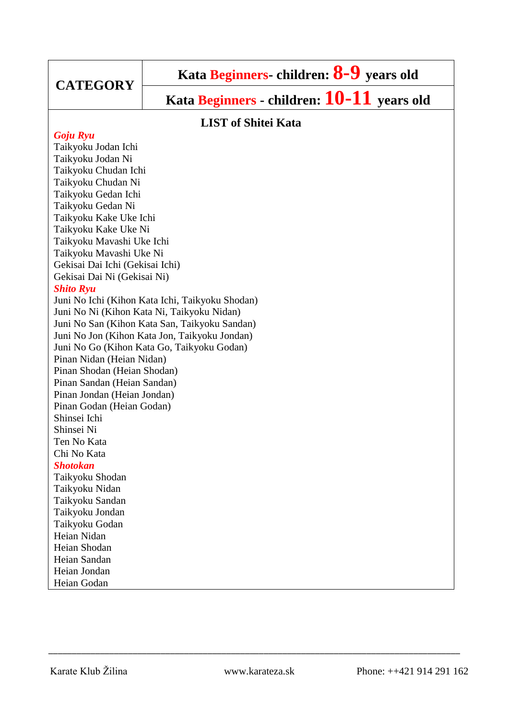## **CATEGORY**

# **Kata Beginners- children: 8-9 years old**

**Kata Beginners - children: 10-11 years old**

### **LIST of Shitei Kata**

### *Goju Ryu*

Taikyoku Jodan Ichi Taikyoku Jodan Ni Taikyoku Chudan Ichi Taikyoku Chudan Ni Taikyoku Gedan Ichi Taikyoku Gedan Ni Taikyoku Kake Uke Ichi Taikyoku Kake Uke Ni Taikyoku Mavashi Uke Ichi Taikyoku Mavashi Uke Ni Gekisai Dai Ichi (Gekisai Ichi) Gekisai Dai Ni (Gekisai Ni) *Shito Ryu* Juni No Ichi (Kihon Kata Ichi, Taikyoku Shodan) Juni No Ni (Kihon Kata Ni, Taikyoku Nidan) Juni No San (Kihon Kata San, Taikyoku Sandan) Juni No Jon (Kihon Kata Jon, Taikyoku Jondan) Juni No Go (Kihon Kata Go, Taikyoku Godan) Pinan Nidan (Heian Nidan) Pinan Shodan (Heian Shodan) Pinan Sandan (Heian Sandan) Pinan Jondan (Heian Jondan) Pinan Godan (Heian Godan) Shinsei Ichi Shinsei Ni Ten No Kata Chi No Kata *Shotokan* Taikyoku Shodan Taikyoku Nidan Taikyoku Sandan Taikyoku Jondan Taikyoku Godan Heian Nidan Heian Shodan Heian Sandan Heian Jondan

Heian Godan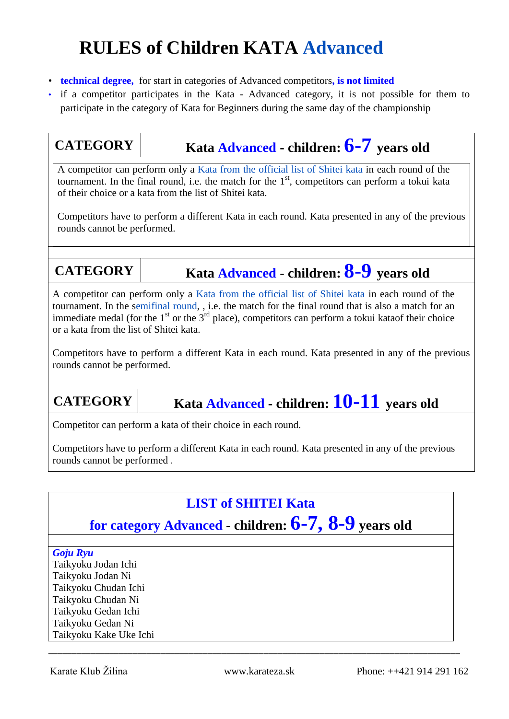# **RULES of Children KATA Advanced**

- **technical degree,** for start in categories of Advanced competitors**, is not limited**
- if a competitor participates in the Kata Advanced category, it is not possible for them to participate in the category of Kata for Beginners during the same day of the championship

## **CATEGORY Kata Advanced - children: 6-7 vears old**

A competitor can perform only a Kata from the official list of Shitei kata in each round of the tournament. In the final round, i.e. the match for the  $1<sup>st</sup>$ , competitors can perform a tokui kata of their choice or a kata from the list of Shitei kata.

Competitors have to perform a different Kata in each round. Kata presented in any of the previous rounds cannot be performed.

## **CATEGORY Kata Advanced - children: 8-9 years old**

A competitor can perform only a Kata from the official list of Shitei kata in each round of the tournament. In the semifinal round, , i.e. the match for the final round that is also a match for an immediate medal (for the  $1<sup>st</sup>$  or the  $3<sup>rd</sup>$  place), competitors can perform a tokui kataof their choice or a kata from the list of Shitei kata.

Competitors have to perform a different Kata in each round. Kata presented in any of the previous rounds cannot be performed.

## **CATEGORY Kata Advanced - children: 10-11 years old**

Competitor can perform a kata of their choice in each round.

Competitors have to perform a different Kata in each round. Kata presented in any of the previous rounds cannot be performed .

## **LIST of SHITEI Kata**

## **for category Advanced - children: 6-7, 8-9 years old**

### *Goju Ryu*

Taikyoku Jodan Ichi Taikyoku Jodan Ni Taikyoku Chudan Ichi Taikyoku Chudan Ni Taikyoku Gedan Ichi Taikyoku Gedan Ni Taikyoku Kake Uke Ichi